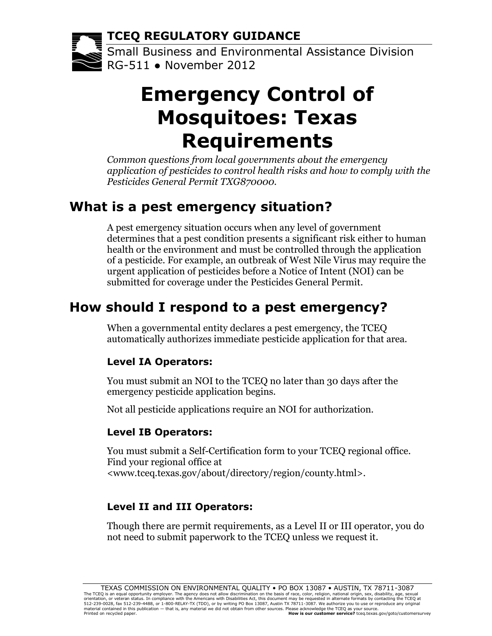**TCEQ REGULATORY GUIDANCE**

Small Business and Environmental Assistance Division RG-511 ● November 2012

# **Emergency Control of Mosquitoes: Texas Requirements**

*Common questions from local governments about the emergency application of pesticides to control health risks and how to comply with the Pesticides General Permit TXG870000.*

### **What is a pest emergency situation?**

A pest emergency situation occurs when any level of government determines that a pest condition presents a significant risk either to human health or the environment and must be controlled through the application of a pesticide. For example, an outbreak of West Nile Virus may require the urgent application of pesticides before a Notice of Intent (NOI) can be submitted for coverage under the [Pesticides General Permit.](http://www.tceq.texas.gov/assets/public/permitting/wastewater/general/txg870000.pdf)

# **How should I respond to a pest emergency?**

When a governmental entity declares a pest emergency, the TCEQ automatically authorizes immediate pesticide application for that area.

#### **Level IA Operators:**

You must submit an NOI to the TCEQ no later than 30 days after the emergency pesticide application begins.

Not all pesticide applications require an NOI for authorization.

#### **Level IB Operators:**

You must submit a [Self-Certification](http://www.tceq.texas.gov/assets/public/permitting/waterquality/forms/20604.pdf) form to your [TCEQ regional office.](http://www.tceq.texas.gov/about/directory/region/reglist.html) Find your regional office at [<www.tceq.texas.gov/about/directory/region/county.html>](http://www.tceq.texas.gov/about/directory/region/county.html).

#### **Level II and III Operators:**

Though there are permit requirements, as a Level II or III operator, you do not need to submit paperwork to the TCEQ unless we request it.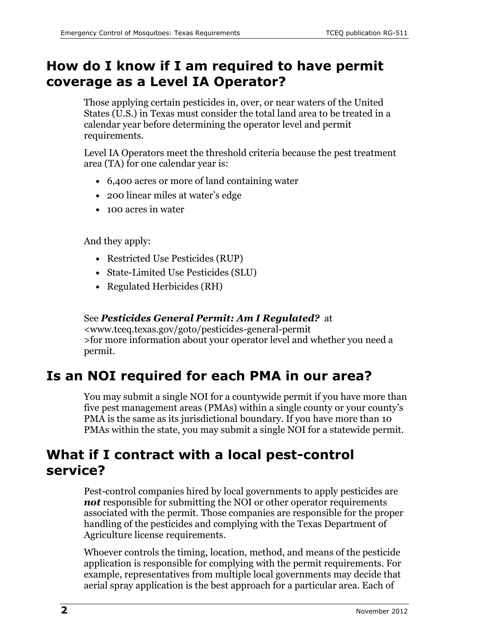### **How do I know if I am required to have permit coverage as a Level IA Operator?**

Those applying certain pesticides in, over, or near waters of the United States (U.S.) in Texas must consider the total land area to be treated in a calendar year before determining the operator level and permit requirements.

Level IA Operators meet the threshold criteria because the pest treatment area (TA) for one calendar year is:

- 6,400 acres or more of land containing water
- 200 linear miles at water's edge
- 100 acres in water

And they apply:

- Restricted Use Pesticides (RUP)
- State-Limited Use Pesticides (SLU)
- Regulated Herbicides (RH)

#### See *[Pesticides General Permit: Am I Regulated?](http://www.tceq.texas.gov/permitting/wastewater/general/pestgpair)* at

[<www.tceq.texas.gov/goto/pesticides-general-permit](http://www.tceq.texas.gov/goto/pesticides-general-permit) >for more information about your operator level and whether you need a permit.

### **Is an NOI required for each PMA in our area?**

You may submit a single NOI for a countywide permit if you have more than five pest management areas (PMAs) within a single county or your county's PMA is the same as its jurisdictional boundary. If you have more than 10 PMAs within the state, you may submit a single NOI for a statewide permit.

### **What if I contract with a local pest-control service?**

Pest-control companies hired by local governments to apply pesticides are *not* responsible for submitting the NOI or other operator requirements associated with the permit. Those companies are responsible for the proper handling of the pesticides and complying with the Texas Department of Agriculture license requirements.

Whoever controls the timing, location, method, and means of the pesticide application is responsible for complying with the permit requirements. For example, representatives from multiple local governments may decide that aerial spray application is the best approach for a particular area. Each of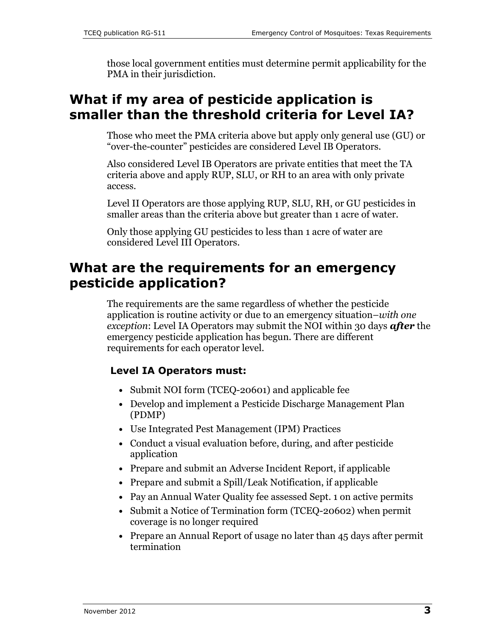those local government entities must determine permit applicability for the PMA in their jurisdiction.

### **What if my area of pesticide application is smaller than the threshold criteria for Level IA?**

Those who meet the PMA criteria above but apply only general use (GU) or "over-the-counter" pesticides are considered Level IB Operators.

Also considered Level IB Operators are private entities that meet the TA criteria above and apply RUP, SLU, or RH to an area with only private access.

Level II Operators are those applying RUP, SLU, RH, or GU pesticides in smaller areas than the criteria above but greater than 1 acre of water.

Only those applying GU pesticides to less than 1 acre of water are considered Level III Operators.

### **What are the requirements for an emergency pesticide application?**

The requirements are the same regardless of whether the pesticide application is routine activity or due to an emergency situation–*with one exception*: Level IA Operators may submit the NOI within 30 days *after* the emergency pesticide application has begun. There are different requirements for each operator level.

#### **Level IA Operators must:**

- Submit [NOI form \(TCEQ-20601\)](http://www.tceq.texas.gov/assets/public/permitting/waterquality/forms/20601.pdf) and applicable fee
- Develop and implement a [Pesticide Discharge Management Plan](http://cfpub.epa.gov/npdes/home.cfm?program_id=410)  [\(PDMP\)](http://cfpub.epa.gov/npdes/home.cfm?program_id=410)
- Use [Integrated Pest Management \(IPM\) Practices](http://www.epa.gov/opp00001/factsheets/ipm.htm)
- Conduct a visual evaluation before, during, and after pesticide application
- Prepare and submit an [Adverse Incident Report,](http://www.tceq.texas.gov/assets/public/permitting/wastewater/general/20624.pdf) if applicable
- Prepare and submit a Spill/Leak Notification, if applicable
- Pay an Annual Water Quality fee assessed Sept. 1 on active permits
- Submit a [Notice of Termination form \(TCEQ-20602\)](http://www.tceq.texas.gov/assets/public/permitting/waterquality/forms/20602.pdf) when permit coverage is no longer required
- Prepare an [Annual Report of usage](http://cfpub.epa.gov/npdes/home.cfm?program_id=410) no later than 45 days after permit termination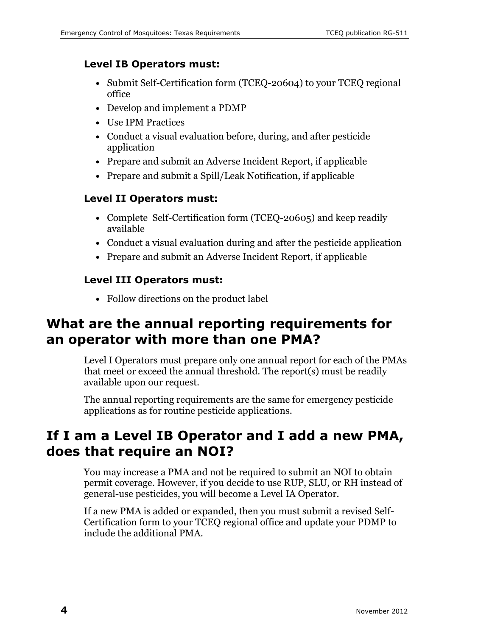#### **Level IB Operators must:**

- Submit [Self-Certification form \(TCEQ-20604\)](http://www.tceq.texas.gov/assets/public/permitting/waterquality/forms/20604.pdf) to your TCEQ regional [office](http://www.tceq.texas.gov/about/directory/region/reglist.html)
- Develop and implement a [PDMP](http://cfpub.epa.gov/npdes/home.cfm?program_id=410)
- Use [IPM Practices](http://www.epa.gov/opp00001/factsheets/ipm.htm)
- Conduct a visual evaluation before, during, and after pesticide application
- Prepare and submit an [Adverse Incident Report,](http://www.tceq.texas.gov/assets/public/permitting/wastewater/general/20624.pdf) if applicable
- Prepare and submit a Spill/Leak Notification, if applicable

#### **Level II Operators must:**

- Complete [Self-Certification form \(TCEQ-20605\)](http://www.tceq.texas.gov/assets/public/permitting/waterquality/forms/20605.pdf) and keep readily available
- Conduct a visual evaluation during and after the pesticide application
- Prepare and submit an [Adverse Incident Report,](http://www.tceq.texas.gov/assets/public/permitting/wastewater/general/20624.pdf) if applicable

#### **Level III Operators must:**

• Follow directions on the product label

### **What are the annual reporting requirements for an operator with more than one PMA?**

Level I Operators must prepare only one annual report for each of the PMAs that meet or exceed the annual threshold. The report(s) must be readily available upon our request.

The annual reporting requirements are the same for emergency pesticide applications as for routine pesticide applications.

### **If I am a Level IB Operator and I add a new PMA, does that require an NOI?**

You may increase a PMA and not be required to submit an NOI to obtain permit coverage. However, if you decide to use RUP, SLU, or RH instead of general-use pesticides, you will become a Level IA Operator.

If a new PMA is added or expanded, then you must submit a revised Self-Certification form to your [TCEQ regional office](http://www.tceq.texas.gov/about/directory/region/reglist.html) and update your PDMP to include the additional PMA.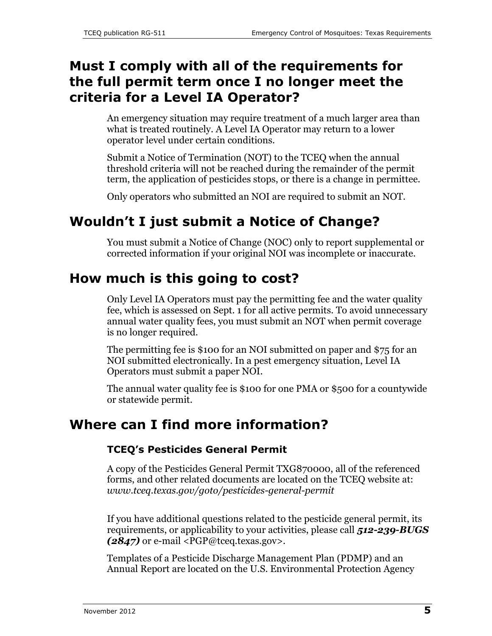### **Must I comply with all of the requirements for the full permit term once I no longer meet the criteria for a Level IA Operator?**

An emergency situation may require treatment of a much larger area than what is treated routinely. A Level IA Operator may return to a lower operator level under certain conditions.

Submit a Notice of Termination (NOT) to the TCEQ when the annual threshold criteria will not be reached during the remainder of the permit term, the application of pesticides stops, or there is a change in permittee.

Only operators who submitted an NOI are required to submit an NOT.

# **Wouldn't I just submit a Notice of Change?**

You must submit a Notice of Change (NOC) only to report supplemental or corrected information if your original NOI was incomplete or inaccurate.

### **How much is this going to cost?**

Only Level IA Operators must pay the permitting fee and the water quality fee, which is assessed on Sept. 1 for all active permits. To avoid unnecessary annual water quality fees, you must submit an NOT when permit coverage is no longer required.

The permitting fee is \$100 for an NOI submitted on paper and \$75 for an NOI submitted electronically. In a pest emergency situation, Level IA Operators must submit a paper NOI.

The annual water quality fee is \$100 for one PMA or \$500 for a countywide or statewide permit.

### **Where can I find more information?**

#### **TCEQ's Pesticides General Permit**

A copy of the Pesticides General Permit TXG870000, all of the referenced forms, and other related documents are located on the [TCEQ website](http://www.tceq.texas.gov/permitting/wastewater/general/pestgpair) at: *[www.tceq.texas.gov/goto/pesticides-general-permit](http://www.tceq.texas.gov/goto/pesticides-general-permit)*

If you have additional questions related to the pesticide general permit, its requirements, or applicability to your activities, please call *512-239-BUGS (2847)* or e-mail [<PGP@tceq.texas.gov>.](mailto:PGP@tceq.texas.gov%3e.)

Templates of a Pesticide Discharge Management Plan (PDMP) and an Annual Report are located on the [U.S. Environmental Protection Agency](http://cfpub.epa.gov/npdes/home.cfm?program_id=410)